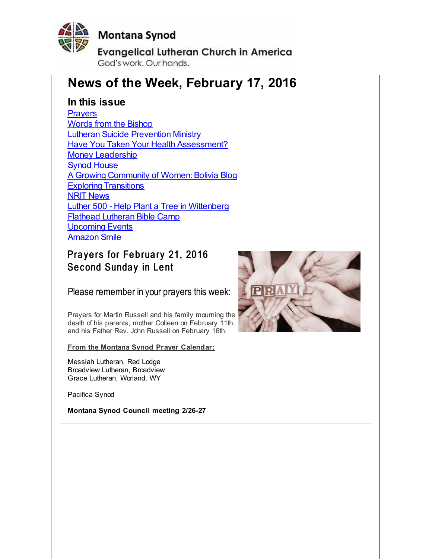<span id="page-0-0"></span>

## **Montana Synod**

**Evangelical Lutheran Church in America** God's work, Our hands,

# **News of the Week, February 17, 2016**

#### **In this issue**

**[Prayers](#page-0-0)** Words from the [Bishop](#page-0-0) Lutheran Suicide [Prevention](#page-0-0) Ministry **Have You Taken Your Health [Assessment?](#page-0-0) Money [Leadership](#page-0-0) Synod [House](#page-0-0)** A Growing Community of Women: Bolivia Blog **Exploring [Transitions](#page-0-0)** NRIT [News](#page-0-0) Luther 500 - Help Plant a Tree in [Wittenberg](#page-0-0) Flathead [Lutheran](#page-0-0) Bible Camp [Upcoming](#page-0-0) Events [Amazon](#page-0-0) Smile

### Prayers for February 21, 2016 Second Sunday in Lent

Please remember in your prayers this week:

Prayers for Martin Russell and his family mourning the death of his parents, mother Colleen on February 11th, and his Father Rev. John Russell on February 16th.

**From the Montana Synod Prayer Calendar:**

Messiah Lutheran, Red Lodge Broadview Lutheran, Broadview Grace Lutheran, Worland, WY

Pacifica Synod

**Montana Synod Council meeting 2/26-27**

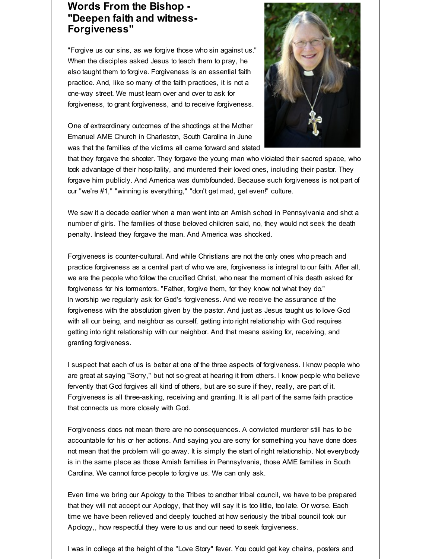#### **Words From the Bishop - "Deepen faith and witness-Forgiveness"**

"Forgive us our sins, as we forgive those who sin against us." When the disciples asked Jesus to teach them to pray, he also taught them to forgive. Forgiveness is an essential faith practice. And, like so many of the faith practices, it is not a one-way street. We must learn over and over to ask for forgiveness, to grant forgiveness, and to receive forgiveness.

One of extraordinary outcomes of the shootings at the Mother Emanuel AME Church in Charleston, South Carolina in June was that the families of the victims all came forward and stated



that they forgave the shooter. They forgave the young man who violated their sacred space, who took advantage of their hospitality, and murdered their loved ones, including their pastor. They forgave him publicly. And America was dumbfounded. Because such forgiveness is not part of our "we're #1," "winning is everything," "don't get mad, get even!" culture.

We saw it a decade earlier when a man went into an Amish school in Pennsylvania and shot a number of girls. The families of those beloved children said, no, they would not seek the death penalty. Instead they forgave the man. And America was shocked.

Forgiveness is counter-cultural. And while Christians are not the only ones who preach and practice forgiveness as a central part of who we are, forgiveness is integral to our faith. After all, we are the people who follow the crucified Christ, who near the moment of his death asked for forgiveness for his tormentors. "Father, forgive them, for they know not what they do." In worship we regularly ask for God's forgiveness. And we receive the assurance of the forgiveness with the absolution given by the pastor. And just as Jesus taught us to love God with all our being, and neighbor as ourself, getting into right relationship with God requires getting into right relationship with our neighbor. And that means asking for, receiving, and granting forgiveness.

I suspect that each of us is better at one of the three aspects of forgiveness. I know people who are great at saying "Sorry," but not so great at hearing it from others. I know people who believe fervently that God forgives all kind of others, but are so sure if they, really, are part of it. Forgiveness is all three-asking, receiving and granting. It is all part of the same faith practice that connects us more closely with God.

Forgiveness does not mean there are no consequences. A convicted murderer still has to be accountable for his or her actions. And saying you are sorry for something you have done does not mean that the problem will go away. It is simply the start of right relationship. Not everybody is in the same place as those Amish families in Pennsylvania, those AME families in South Carolina. We cannot force people to forgive us. We can only ask.

Even time we bring our Apology to the Tribes to another tribal council, we have to be prepared that they will not accept our Apology, that they will say it is too little, too late. Or worse. Each time we have been relieved and deeply touched at how seriously the tribal council took our Apology,, how respectful they were to us and our need to seek forgiveness.

I was in college at the height of the "Love Story" fever. You could get key chains, posters and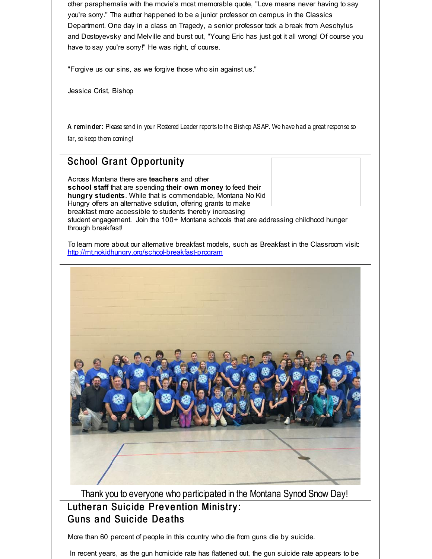other paraphernalia with the movie's most memorable quote, "Love means never having to say you're sorry." The author happened to be a junior professor on campus in the Classics Department. One day in a class on Tragedy, a senior professor took a break from Aeschylus and Dostoyevsky and Melville and burst out, "Young Eric has just got it all wrong! Of course you have to say you're sorry!" He was right, of course.

"Forgive us our sins, as we forgive those who sin against us."

Jessica Crist, Bishop

A reminder: Please send in your Rostered Leader reports to the Bishop ASAP. We have had a great response so far, so keep them coming!

#### **School Grant Opportunity**

Across Montana there are **teachers** and other **school staff** that are spending **their own money** to feed their **hungry students**. While that is commendable, Montana No Kid Hungry offers an alternative solution, offering grants to make breakfast more accessible to students thereby increasing student engagement. Join the 100+ Montana schools that are addressing childhood hunger through breakfast!

To learn more about our alternative breakfast models, such as Breakfast in the Classroom visit: [http://mt.nokidhungry.org/school-breakfast-program](http://r20.rs6.net/tn.jsp?f=001xiyv3cjkjVRVfJN2KryEbW98gU73cD1LQcUWVlyBHPCdb8i7fNW7YsMS4XUYJItLFy0RXhIfr7i-Y4yQIFEeNtOg1oNdPhGs6ViHKSzBzs7NSPJw_Hpo9Kfxkv1_URn4JL97Y80F-EP0LjkZuGlMvTQLRPL-St3UnKfFDXc3OgtC6EffdE0hu_u3FDJzKvfxLnn8F24-NhLFk8RcpfgYQQ==&c=&ch=)



Thank you to everyone who participated in the Montana Synod Snow Day! Lutheran Suicide Prevention Ministry: Guns a nd Suic ide De a ths

More than 60 percent of people in this country who die from guns die by suicide.

In recent years, as the gun homicide rate has flattened out, the gun suicide rate appears to be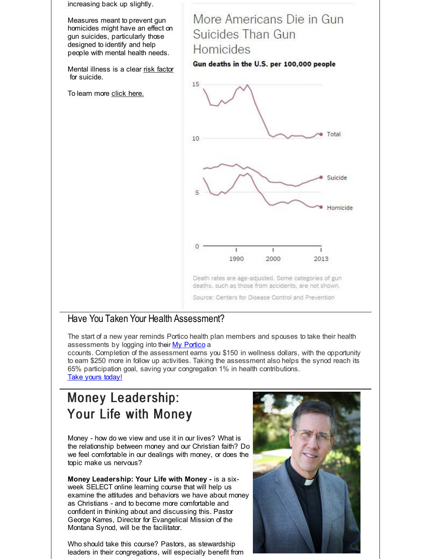increasing back up slightly. More Americans Die in Gun Measures meant to prevent gun homicides might have an effect on Suicides Than Gun gun suicides, particularly those designed to identify and help **Homicides** people with mental health needs. Gun deaths in the U.S. per 100,000 people Mental illness is a clear risk [factor](http://r20.rs6.net/tn.jsp?f=001xiyv3cjkjVRVfJN2KryEbW98gU73cD1LQcUWVlyBHPCdb8i7fNW7YsMS4XUYJItL7DPRvn5ETTILDn0iPNxjT1nAeCjMOt8Oe3zIGe1a_Hyl4PDmOrFgS0snmlgZiJBrKVyd9i3c18RyLK6BR-XfeLDet2tuyMApPTssNaVzJZ8xCscAKzs5yIsd5KyHhCnYaXc9rg-LFut1Gjyi-7JqM5--xZecSvQp4r4LJGFnMHnOxbyDs_a0ahGFobsrI1zBfLzR81QfUq3ij82fDvXPi0xKMjToiHuvLoQF8CjrkhrQCbAvAx4YQgKc5fBlK-BN&c=&ch=) for suicide. 15 To learn more click [here.](http://r20.rs6.net/tn.jsp?f=001xiyv3cjkjVRVfJN2KryEbW98gU73cD1LQcUWVlyBHPCdb8i7fNW7YsMS4XUYJItLerIw1GRMKpi_WoRU9dynnTZRppwOryW5h55080chTbLnlsAC7V7YA8T6JkUclr7uaFXT9lyoIUl_lsoY28utd5w14d5XGPyBc0oZLSw_bt-2fXFhY3FmI88JSlXVJPcV&c=&ch=) Total 10 Suicide Homicide 1990 2000 2013 Death rates are age-adjusted. Some categories of gun deaths, such as those from accidents, are not shown.

#### Have You Taken Your Health Assessment?

The start of a new year reminds Portico health plan members and spouses to take their health assessments by logging into their My [Portico](http://r20.rs6.net/tn.jsp?f=001xiyv3cjkjVRVfJN2KryEbW98gU73cD1LQcUWVlyBHPCdb8i7fNW7YuTlSySOgkT5cnfXF0sT-K-gMFpoW512WT4_MIWxHTuFQfcmQ4EkB_k34V0N6FkyVxLfCXP2j5T0q83wc9xpR9DrB7pNVlJ3Qb4OVCCOhOmRadgh3pV4zPxxK6zUa-0lVQVCJuiw-R53hJmotO06ygayDLn469ntqAAfTbaG-HYP&c=&ch=) a

Source: Centers for Disease Control and Prevention

ccounts. Completion of the assessment earns you \$150 in wellness dollars, with the opportunity to earn \$250 more in follow up activities. Taking the assessment also helps the synod reach its 65% participation goal, saving your congregation 1% in health contributions. Take yours [today!](http://r20.rs6.net/tn.jsp?f=001xiyv3cjkjVRVfJN2KryEbW98gU73cD1LQcUWVlyBHPCdb8i7fNW7YuTlSySOgkT5cnfXF0sT-K-gMFpoW512WT4_MIWxHTuFQfcmQ4EkB_k34V0N6FkyVxLfCXP2j5T0q83wc9xpR9DrB7pNVlJ3Qb4OVCCOhOmRadgh3pV4zPxxK6zUa-0lVQVCJuiw-R53hJmotO06ygayDLn469ntqAAfTbaG-HYP&c=&ch=)

# Money Leadership: Your Life with Money

Money - how do we view and use it in our lives? What is the relationship between money and our Christian faith? Do we feel comfortable in our dealings with money, or does the topic make us nervous?

**Money Leadership: Your Life with Money -** is a sixweek SELECT online learning course that will help us examine the attitudes and behaviors we have about money as Christians - and to become more comfortable and confident in thinking about and discussing this. Pastor George Karres, Director for Evangelical Mission of the Montana Synod, will be the facilitator.

Who should take this course? Pastors, as stewardship leaders in their congregations, will especially benefit from

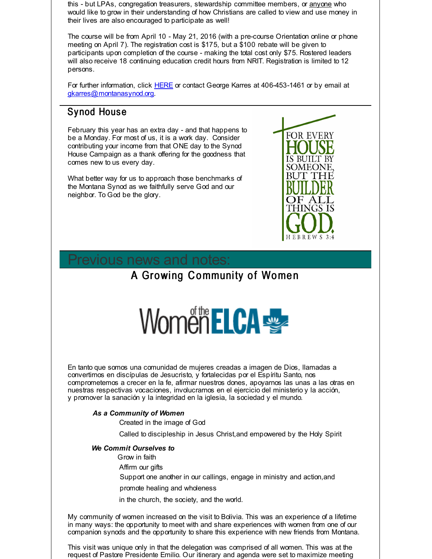this - but LPAs, congregation treasurers, stewardship committee members, or anyone who would like to grow in their understanding of how Christians are called to view and use money in their lives are also encouraged to participate as well!

The course will be from April 10 - May 21, 2016 (with a pre-course Orientation online or phone meeting on April 7). The registration cost is \$175, but a \$100 rebate will be given to participants upon completion of the course - making the total cost only \$75. Rostered leaders will also receive 18 continuing education credit hours from NRIT. Registration is limited to 12 persons.

For further information, click [HERE](http://r20.rs6.net/tn.jsp?f=001xiyv3cjkjVRVfJN2KryEbW98gU73cD1LQcUWVlyBHPCdb8i7fNW7YuTlSySOgkT5WwjImLL56dsLr0XhsFJuslD__wXCPHLZYpA-SzB8RXj7s4_5iOOPhMAs3wlQZytnCkJkQdHaTpmgG1wGO900m7I__ZPhmMUAyrRtgv86PeZ_VE-yNoa47kb3Jb7-9IeymQurl7sSt-4N_UI2ccdguWfnh53RDx-bNA1KWANIXaQROEP6ksUjN1cBpN3yQ70mUE59X-ApPCo=&c=&ch=) or contact George Karres at 406-453-1461 or by email at [gkarres@montanasynod.org](mailto:gkarres@montanasynod.org).

#### Synod House

February this year has an extra day - and that happens to be a Monday. For most of us, it is a work day. Consider contributing your income from that ONE day to the Synod House Campaign as a thank offering for the goodness that comes new to us every day.

What better way for us to approach those benchmarks of the Montana Synod as we faithfully serve God and our neighbor. To God be the glory.



## revious news and notes:

### A Growing Community of Women



En tanto que somos una comunidad de mujeres creadas a imagen de Dios, llamadas a convertirnos en discípulas de Jesucristo, y fortalecidas por el Espíritu Santo, nos comprometemos a crecer en la fe, afirmar nuestros dones, apoyarnos las unas a las otras en nuestras respectivas vocaciones, involucrarnos en el ejercicio del ministerio y la acción, y promover la sanación y la integridad en la iglesia, la sociedad y el mundo.

#### *As a Community of Women*

Created in the image of God

Called to discipleship in Jesus Christ,and empowered by the Holy Spirit

#### *We Commit Ourselves to*

- Grow in faith
- Affirm our gifts

Support one another in our callings, engage in ministry and action,and

promote healing and wholeness

in the church, the society, and the world.

My community of women increased on the visit to Bolivia. This was an experience of a lifetime in many ways: the opportunity to meet with and share experiences with women from one of our companion synods and the opportunity to share this experience with new friends from Montana.

This visit was unique only in that the delegation was comprised of all women. This was at the request of Pastore Presidente Emilio. Our itinerary and agenda were set to maximize meeting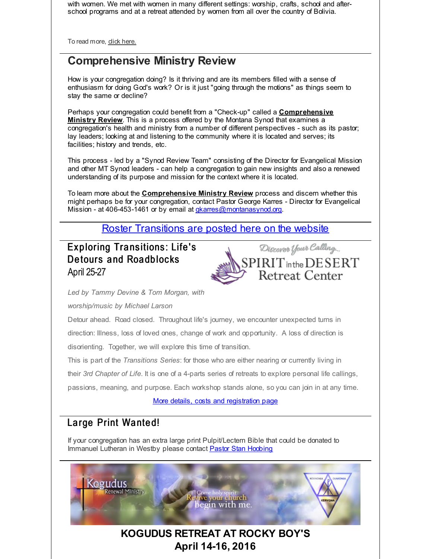with women. We met with women in many different settings: worship, crafts, school and afterschool programs and at a retreat attended by women from all over the country of Bolivia.

To read more, dick [here.](http://r20.rs6.net/tn.jsp?f=001xiyv3cjkjVRVfJN2KryEbW98gU73cD1LQcUWVlyBHPCdb8i7fNW7YmBJf0YPeVX4qodJ97abqU4iPnbD9XRzsIMbzrkiO7sMawIo0LkjS-Wq7joRawe_0OgCd-gzYZbnfzt-mgYOqI8ycJDGAmVUlMe_KldJY7n2GyxBf7L6dPaCtE5VmEbmC93Yrq24a7hRjiP0L9Vix4w=&c=&ch=)

## **Comprehensive Ministry Review**

How is your congregation doing? Is it thriving and are its members filled with a sense of enthusiasm for doing God's work? Or is it just "going through the motions" as things seem to stay the same or decline?

Perhaps your congregation could benefit from a "Check-up" called a **Comprehensive Ministry Review**. This is a process offered by the Montana Synod that examines a congregation's health and ministry from a number of different perspectives - such as its pastor; lay leaders; looking at and listening to the community where it is located and serves; its facilities; history and trends, etc.

This process - led by a "Synod Review Team" consisting of the Director for Evangelical Mission and other MT Synod leaders - can help a congregation to gain new insights and also a renewed understanding of its purpose and mission for the context where it is located.

To learn more about the **Comprehensive Ministry Review** process and discern whether this might perhaps be for your congregation, contact Pastor George Karres - Director for Evangelical Mission - at 406-453-1461 or by email at *[gkarres@montanasynod.org](mailto:gkarres@montanasynod.org)*.

Roster [Transitions](http://r20.rs6.net/tn.jsp?f=001xiyv3cjkjVRVfJN2KryEbW98gU73cD1LQcUWVlyBHPCdb8i7fNW7YuTlSySOgkT59hjIpWgGeNWFmiT1imATza4F3-XHq26TDUmXicZCr6v-3tZlglyJcbdTiPggh78ywK7_IOOKcLuVxlvT8d5pOoSoU22OhBvIMBLnMf-KE5mPhrr3o_l7Tx1lkvsEhRARgvfy-pN33-k=&c=&ch=) are posted here on the website

Exploring Transitions: Life's Detours and Roadblocks April 25-27



*Led by Tammy Devine & Tom Morgan, with*

*worship/music by Michael Larson*

Detour ahead. Road closed. Throughout life's journey, we encounter unexpected turns in direction: Illness, loss of loved ones, change of work and opportunity. A loss of direction is

disorienting. Together, we will explore this time of transition.

This is part of the *Transitions Series*: for those who are either nearing or currently living in

their *3rd Chapter of Life*. It is one of a 4-parts series of retreats to explore personal life callings,

passions, meaning, and purpose. Each workshop stands alone, so you can join in at any time.

More details, costs and [registration](http://r20.rs6.net/tn.jsp?f=001xiyv3cjkjVRVfJN2KryEbW98gU73cD1LQcUWVlyBHPCdb8i7fNW7YuTlSySOgkT5pUBjsoa9i5reHVcXXhImjgbS2jLkTKzNQmIKXHkDs7Cy7Tk0uqUzg3Vzpiz6DoOOiXeFucK8ROfGpu9OR7_d4IHQqUwxG_LBG59zqxGKGybBm70kSPv6YGZv34-mGHXvwKvWk56JjOSL5XhqA_qhptAbqrOHSFm7vDJETMRBomAEynBB7ALMos24LUFp5_qR&c=&ch=) page

#### Large Print Wanted!

If your congregation has an extra large print Pulpit/Lectern Bible that could be donated to Immanuel Lutheran in Westby please contact Pastor Stan [Hoobing](mailto:stanhoobing@hotmail.com)

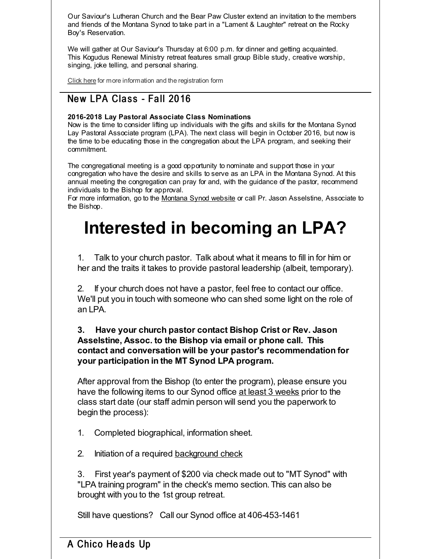Our Saviour's Lutheran Church and the Bear Paw Cluster extend an invitation to the members and friends of the Montana Synod to take part in a "Lament & Laughter" retreat on the Rocky Boy's Reservation.

We will gather at Our Saviour's Thursday at 6:00 p.m. for dinner and getting acquainted. This Kogudus Renewal Ministry retreat features small group Bible study, creative worship, singing, joke telling, and personal sharing.

[Click](http://r20.rs6.net/tn.jsp?f=001xiyv3cjkjVRVfJN2KryEbW98gU73cD1LQcUWVlyBHPCdb8i7fNW7YsJ55EKHX4ICKw8oXWU8EqJKZ3_2NoacMTIN7jALRX1cX2ge--s7zOxl7LUPXyabDwPKxjQRPVqSVHd4e2BvGb8NwF7mVdLVwRw3jQISC4G7AcPFLYHoPWqHMa_exkMuPenby9_p0S5QhLoX0HixUM_W4Kinw9k0pZB9jb46LSZyXHNARo54omlImmNYcPTVRjmBHWchr3cthfiqCQlkpWF87ePWreHPJlU2XVY9qD0i&c=&ch=) here for more information and the registration form

#### New LPA Class - Fall 2016

#### **2016-2018 Lay Pastoral Associate Class Nominations**

Now is the time to consider lifting up individuals with the gifts and skills for the Montana Synod Lay Pastoral Associate program (LPA). The next class will begin in October 2016, but now is the time to be educating those in the congregation about the LPA program, and seeking their commitment.

The congregational meeting is a good opportunity to nominate and support those in your congregation who have the desire and skills to serve as an LPA in the Montana Synod. At this annual meeting the congregation can pray for and, with the guidance of the pastor, recommend individuals to the Bishop for approval.

For more information, go to the [Montana](http://r20.rs6.net/tn.jsp?f=001xiyv3cjkjVRVfJN2KryEbW98gU73cD1LQcUWVlyBHPCdb8i7fNW7YsJzLEJzoqSGDq-5YUTNqo0b_GCWJHwLK_O-3XC6Q6ue2GL-i_-P9291CVsVMVxG6MYbBjYSpc6-Vy8rq2J5TJKbRZRY-EPRgk922lMwIHgZGtpCxLLFERwEw1vbM5Rfdw==&c=&ch=) Synod website or call Pr. Jason Asselstine, Associate to the Bishop.

# **Interested in becoming an LPA?**

1. Talk to your church pastor. Talk about what it means to fill in for him or her and the traits it takes to provide pastoral leadership (albeit, temporary).

2. If your church does not have a pastor, feel free to contact our office. We'll put you in touch with someone who can shed some light on the role of an LPA.

#### **3. Have your church pastor contact Bishop Crist or Rev. Jason Asselstine, Assoc. to the Bishop via email or phone call. This contact and conversation will be your pastor's recommendation for your participation in the MT Synod LPA program.**

After approval from the Bishop (to enter the program), please ensure you have the following items to our Synod office at least 3 weeks prior to the class start date (our staff admin person will send you the paperwork to begin the process):

- 1. Completed biographical, information sheet.
- 2. Initiation of a required [background](http://r20.rs6.net/tn.jsp?f=001xiyv3cjkjVRVfJN2KryEbW98gU73cD1LQcUWVlyBHPCdb8i7fNW7Yt734pFCWpCxsTX4BEuqI1dCyvYQlIksyltaWOIINPibOuC_H8eCHFeqzB6W2SFLP9B0E3rzRscfQ7sYRh4GPww5bYp0sN_7WfPppmXk4ILX2MypVqPFkzbDXyOJq4FoBzrK0u37g6yoRGgRrQ_OYI-mciWxUSDikQ==&c=&ch=) check

3. First year's payment of \$200 via check made out to "MT Synod" with "LPA training program" in the check's memo section. This can also be brought with you to the 1st group retreat.

Still have questions? Call our Synod office at 406-453-1461

#### A Chico Heads Up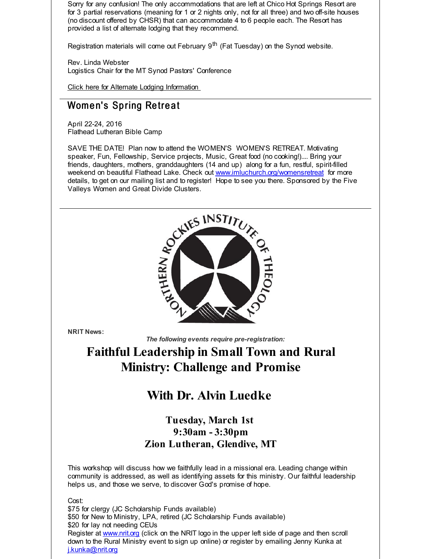Sorry for any confusion! The only accommodations that are left at Chico Hot Springs Resort are for 3 partial reservations (meaning for 1 or 2 nights only, not for all three) and two off-site houses (no discount offered by CHSR) that can accommodate 4 to 6 people each. The Resort has provided a list of alternate lodging that they recommend.

Registration materials will come out February 9<sup>th</sup> (Fat Tuesday) on the Synod website.

Rev. Linda Webster Logistics Chair for the MT Synod Pastors' Conference

Click here for Alternate Lodging [Information](http://r20.rs6.net/tn.jsp?f=001xiyv3cjkjVRVfJN2KryEbW98gU73cD1LQcUWVlyBHPCdb8i7fNW7YsJ55EKHX4ICkm7RP-fxNLPMp2xtF2lB_cy9zgCxfNs6MbHm7_OueJfbcVrANpnXJX0FaNHJRamomDOukpF7mG2ij5gORh04_uE_C0L6CWpDMJDMdso9Ji5DqV3USUJ3gcGRG4dcmHFTREuI5oxP6Qplhtbt8gnKYYo29gciODIySMn-1ZFPdJOPZS81XPj0xkH8xqYH36bfwiGxSqzzGGE=&c=&ch=)

#### Women's Spring Retreat

April 22-24, 2016 Flathead Lutheran Bible Camp

SAVE THE DATE! Plan now to attend the WOMEN'S WOMEN'S RETREAT. Motivating speaker, Fun, Fellowship, Service projects, Music, Great food (no cooking!).... Bring your friends, daughters, mothers, granddaughters (14 and up) along for a fun, restful, spirit-filled weekend on beautiful Flathead Lake. Check out [www.imluchurch.org/womensretreat](http://r20.rs6.net/tn.jsp?f=001xiyv3cjkjVRVfJN2KryEbW98gU73cD1LQcUWVlyBHPCdb8i7fNW7YtkxJ5HlgDHH-A_urGNEBEUdtXRKBOsp63IlcZrTbANZaUZ2Ffr3AEtL-9cMbkagQ67PeaD70_H_GJNSrgXBthTgLLh5suyiBwF_Nsx1DzczZQQYW8akVpbjCqsdc4y3yTdRJyBomu2n&c=&ch=) for more details, to get on our mailing list and to register! Hope to see you there. Sponsored by the Five Valleys Women and Great Divide Clusters.



**NRIT News:**

*The following events require pre-registration:*

# **Faithful Leadership in Small Town and Rural Ministry: Challenge and Promise**

## **With Dr. Alvin Luedke**

#### **Tuesday, March 1st 9:30am - 3:30pm Zion Lutheran, Glendive, MT**

This workshop will discuss how we faithfully lead in a missional era. Leading change within community is addressed, as well as identifying assets for this ministry. Our faithful leadership helps us, and those we serve, to discover God's promise of hope.

Cost:

\$75 for clergy (JC Scholarship Funds available) \$50 for New to Ministry, LPA, retired (JC Scholarship Funds available) \$20 for lay not needing CEUs Register at **[www.nrit.org](http://r20.rs6.net/tn.jsp?f=001xiyv3cjkjVRVfJN2KryEbW98gU73cD1LQcUWVlyBHPCdb8i7fNW7YhXbYpTMdyUdTWAQHoDj30Lg9Pu7UoWO4_rXhmUxrnvZFVaYF6iCPQcvJx9xEEwt2NiO0XCTHQA_Htotw7h4nyKGWhrXx-sOUFEZQhcCJ97p&c=&ch=)** (click on the NRIT logo in the upper left side of page and then scroll down to the Rural Ministry event to sign up online) or register by emailing Jenny Kunka at [j.kunka@nrit.org](mailto:j.kunka@nrit.org)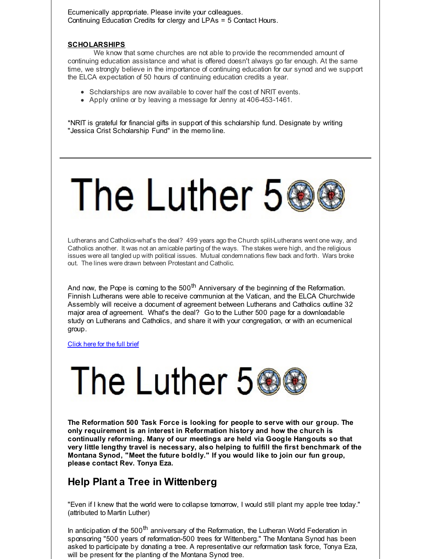Ecumenically appropriate. Please invite your colleagues. Continuing Education Credits for clergy and LPAs = 5 Contact Hours.

#### **SCHOLARSHIPS**

We know that some churches are not able to provide the recommended amount of continuing education assistance and what is offered doesn't always go far enough. At the same time, we strongly believe in the importance of continuing education for our synod and we support the ELCA expectation of 50 hours of continuing education credits a year.

- Scholarships are now available to cover half the cost of NRIT events.
- Apply online or by leaving a message for Jenny at 406-453-1461.

\*NRIT is grateful for financial gifts in support of this scholarship fund. Designate by writing "Jessica Crist Scholarship Fund" in the memo line.

# The Luther 56

Lutherans and Catholics-what's the deal? 499 years ago the Church split-Lutherans went one way, and Catholics another. It was not an amicable parting of the ways. The stakes were high, and the religious issues were all tangled up with political issues. Mutual condemnations flew back and forth. Wars broke out. The lines were drawn between Protestant and Catholic.

And now, the Pope is coming to the 500<sup>th</sup> Anniversary of the beginning of the Reformation. Finnish Lutherans were able to receive communion at the Vatican, and the ELCA Churchwide Assembly will receive a document of agreement between Lutherans and Catholics outline 32 major area of agreement. What's the deal? Go to the Luther 500 page for a downloadable study on Lutherans and Catholics, and share it with your congregation, or with an ecumenical group.

[Click](http://r20.rs6.net/tn.jsp?f=001xiyv3cjkjVRVfJN2KryEbW98gU73cD1LQcUWVlyBHPCdb8i7fNW7YuTlSySOgkT5xzE5-hlx5D48A32gJPrVGg5KhqEyTg1gH9GiK5BSgPbfpv-2bv92dByIn8CksQVgY0V2hYQXxtNEJlXyMCW_gE-sADjTwBa3tjskGIcYJha7MzmM-gfUm2SRQyy6If7JApHRBU9TKKpx5RDFwrszpo-t2U_uStNLPKoZ5Mk_2YhViags9E_-Cmg-UgdaRw9i391ftFJyFQev-6I4Ibl1zA==&c=&ch=) here for the full brief



**The Reformation 500 Task Force is looking for people to serve with our group. The only requirement is an interest in Reformation history and how the church is continually reforming. Many of our meetings are held via Google Hangouts so that very little lengthy travel is necessary, also helping to fulfill the first benchmark of the Montana Synod, "Meet the future boldly." If you would like to join our fun group, please contact Rev. Tonya Eza.**

#### **Help Plant a Tree in Wittenberg**

"Even if I knew that the world were to collapse tomorrow, I would still plant my apple tree today." (attributed to Martin Luther)

In anticipation of the 500<sup>th</sup> anniversary of the Reformation, the Lutheran World Federation in sponsoring "500 years of reformation-500 trees for Wittenberg." The Montana Synod has been asked to participate by donating a tree. A representative our reformation task force, Tonya Eza, will be present for the planting of the Montana Synod tree.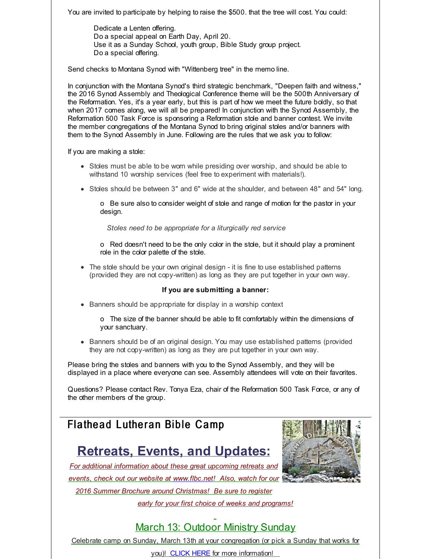You are invited to participate by helping to raise the \$500. that the tree will cost. You could:

Dedicate a Lenten offering. Do a special appeal on Earth Day, April 20. Use it as a Sunday School, youth group, Bible Study group project. Do a special offering.

Send checks to Montana Synod with "Wittenberg tree" in the memo line.

In conjunction with the Montana Synod's third strategic benchmark, "Deepen faith and witness," the 2016 Synod Assembly and Theological Conference theme will be the 500th Anniversary of the Reformation. Yes, it's a year early, but this is part of how we meet the future boldly, so that when 2017 comes along, we will all be prepared! In conjunction with the Synod Assembly, the Reformation 500 Task Force is sponsoring a Reformation stole and banner contest. We invite the member congregations of the Montana Synod to bring original stoles and/or banners with them to the Synod Assembly in June. Following are the rules that we ask you to follow:

If you are making a stole:

- Stoles must be able to be worn while presiding over worship, and should be able to withstand 10 worship services (feel free to experiment with materials!).
- Stoles should be between 3" and 6" wide at the shoulder, and between 48" and 54" long.

o Be sure also to consider weight of stole and range of motion for the pastor in your design.

*Stoles need to be appropriate for a liturgically red service*

o Red doesn't need to be the only color in the stole, but it should play a prominent role in the color palette of the stole.

The stole should be your own original design - it is fine to use established patterns (provided they are not copy-written) as long as they are put together in your own way.

#### **If you are submitting a banner:**

• Banners should be appropriate for display in a worship context

o The size of the banner should be able to fit comfortably within the dimensions of your sanctuary.

**Banners should be of an original design. You may use established patterns (provided)** they are not copy-written) as long as they are put together in your own way.

Please bring the stoles and banners with you to the Synod Assembly, and they will be displayed in a place where everyone can see. Assembly attendees will vote on their favorites.

Questions? Please contact Rev. Tonya Eza, chair of the Reformation 500 Task Force, or any of the other members of the group.

### Flathead Lutheran Bible Camp

# **Retreats, Events, and Updates:**

*For additional information about these great upcoming retreats and events, check out our website at [www.flbc.net](http://r20.rs6.net/tn.jsp?f=001xiyv3cjkjVRVfJN2KryEbW98gU73cD1LQcUWVlyBHPCdb8i7fNW7YurfwPZ4912bRzcECSRsURVTVFIHArSNzf68u1sjdXRXkx1KOr9L3flHIGEtbrUrfV1WzSEWRUXFQr7rwIc2tOGeKtO55gneKPmRiNVE3VswM-mWRpYwyyfT6cfwb20UFzKfAz28BIMKlH8k5SK0kAxeD42SUVETEel8XG840GTNm2pjKrU3sHMKl29xQiFAZ543duWARrdZ&c=&ch=)! Also, watch for our 2016 Summer Brochure around Christmas! Be sure to register early for your first choice of weeks and programs!*



#### March 13: Outdoor Ministry Sunday

Celebrate camp on Sunday, March 13th at your congregation (or pick a Sunday that works for

you)! [CLICK](http://r20.rs6.net/tn.jsp?f=001xiyv3cjkjVRVfJN2KryEbW98gU73cD1LQcUWVlyBHPCdb8i7fNW7YurfwPZ4912bfhCnemygluu4o9CTosrUQcK3wChQXBsSc63XjwgmvfQ2_MvHh9bEy-B-0Tgt3Lgg_hGy5CVkkSDLHtk0mUReuQ1pxYEUYQ_8eHzXOP8aHD3fsNC9YY16-bW6xHQxcLlMY_FWVB0s9841OehfNhYh6WY8jqOMq7bYyoHR9jxhGrGK5azHBXGBP53xkgH-2x5Y&c=&ch=) HERE for more information!